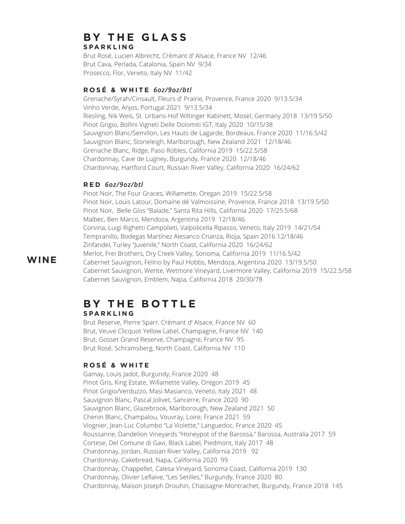# **BY THE GLASS**

## **S PA R K L I N G**

Brut Rosé, Lucien Albrecht, Crémant d' Alsace, France NV 12/46 Brut Cava, Perlada, Catalonia, Spain NV 9/34 Prosecco, Flor, Veneto, Italy NV 11/42

## **R O S É & W H I T E** *6oz/9oz/btl*

Grenache/Syrah/Cinsault, Fleurs d' Prairie, Provence, France 2020 9/13.5/34 Vinho Verde, Anjos, Portugal 2021 9/13.5/34 Riesling, Nik Weis, St. Urbans-Hof Wiltinger Kabinett, Mosel, Germany 2018 13/19.5/50 Pinot Grigio, Bollini Vigneti Delle Dolomiti IGT, Italy 2020 10/15/38 Sauvignon Blanc/Semillon, Les Hauts de Lagarde, Bordeaux, France 2020 11/16.5/42 Sauvignon Blanc, Stoneleigh, Marlborough, New Zealand 2021 12/18/46 Grenache Blanc, Ridge, Paso Robles, California 2019 15/22.5/58 Chardonnay, Cave de Lugney, Burgundy, France 2020 12/18/46 Chardonnay, Hartford Court, Russian River Valley, California 2020 16/24/62

### **R E D** *6oz/9oz/btl*

Pinot Noir, The Four Graces, Willamette, Oregan 2019 15/22.5/58 Pinot Noir, Louis Latour, Domaine dé Valmoissine, Provence, France 2018 13/19.5/50 Pinot Noir, Belle Glos "Balade," Santa Rita Hills, California 2020 17/25.5/68 Malbec, Ben Marco, Mendoza, Argentina 2019 12/18/46 Corvina, Luigi Righetti Campolieti, Valpolicella Ripasso, Veneto, Italy 2019 14/21/54 Tempranillo, Bodegas Martínez Alesanco Crianza, Rioja, Spain 2016 12/18/46 Zinfandel, Turley "Juvenile," North Coast, California 2020 16/24/62 Merlot, Frei Brothers, Dry Creek Valley, Sonoma, California 2019 11/16.5/42 Cabernet Sauvignon, Felino by Paul Hobbs, Mendoza, Argentina 2020 13/19.5/50 Cabernet Sauvignon, Wente, Wetmore Vineyard, Livermore Valley, California 2019 15/22.5/58 Cabernet Sauvignon, Emblem, Napa, California 2018 20/30/78

## **B Y T H E B O T T L E S PA R K L I N G**

Brut Reserve, Pierre Sparr, Crémant d' Alsace, France NV 60 Brut, Veuve Clicquot Yellow Label, Champagne, France NV 140 Brut, Gosset Grand Reserve, Champagne, France NV 95 Brut Rosé, Schramsberg, North Coast, California NV 110

## **R O S É & W H I T E**

Gamay, Louis Jadot, Burgundy, France 2020 48 Pinot Gris, King Estate, Willamette Valley, Oregon 2019 45 Pinot Grigio/Verduzzo, Masi Masianco, Veneto, Italy 2021 48 Sauvignon Blanc, Pascal Jolivet, Sancerre, France 2020 90 Sauvignon Blanc, Glazebrook, Marlborough, New Zealand 2021 50 Chenin Blanc, Champalou, Vouvray, Loire, France 2021 59 Viognier, Jean-Luc Columbo "La Violette," Languedoc, France 2020 45 Roussanne, Dandelion Vineyards "Honeypot of the Barossa," Barossa, Australia 2017 59 Cortese, Del Comune di Gavi, Black Label, Piedmont, Italy 2017 48 Chardonnay, Jordan, Russian River Valley, California 2019 92 Chardonnay, Cakebread, Napa, California 2020 99 Chardonnay, Chappellet, Calesa Vineyard, Sonoma Coast, California 2019 130 Chardonnay, Olivier Leflaive, "Les Setilles," Burgundy, France 2020 80 Chardonnay, Maison Joseph Drouhin, Chassagne-Montrachet, Burgundy, France 2018 145

## **WINE**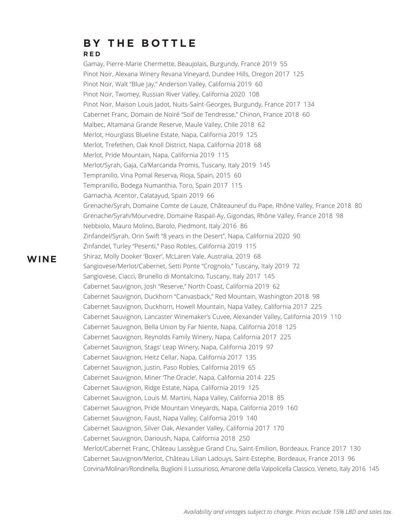## **B Y T H E B O T T L E R E D**

Gamay, Pierre-Marie Chermette, Beaujolais, Burgundy, France 2019 55 Pinot Noir, Alexana Winery Revana Vineyard, Dundee Hills, Oregon 2017 125 Pinot Noir, Walt "Blue Jay," Anderson Valley, California 2019 60 Pinot Noir, Twomey, Russian River Valley, California 2020 108 Pinot Noir, Maison Louis Jadot, Nuits-Saint-Georges, Burgundy, France 2017 134 Cabernet Franc, Domain de Noiré "Soif de Tendresse," Chinon, France 2018 60 Malbec, Altamana Grande Reserve, Maule Valley, Chile 2018 62 Merlot, Hourglass Blueline Estate, Napa, California 2019 125 Merlot, Trefethen, Oak Knoll District, Napa, California 2018 68 Merlot, Pride Mountain, Napa, California 2019 115 Merlot/Syrah, Gaja, Ca'Marcanda Promis, Tuscany, Italy 2019 145 Tempranillo, Vina Pomal Reserva, Rioja, Spain, 2015 60 Tempranillo, Bodega Numanthia, Toro, Spain 2017 115 Garnacha, Acentor, Calatayud, Spain 2019 66 Grenache/Syrah, Domaine Comte de Lauze, Châteauneuf du Pape, Rhône Valley, France 2018 80 Grenache/Syrah/Mourvedre, Domaine Raspail-Ay, Gigondas, Rhône Valley, France 2018 98 Nebbiolo, Mauro Molino, Barolo, Piedmont, Italy 2016 86 Zinfandel/Syrah, Orin Swift "8 years in the Desert", Napa, California 2020 90 Zinfandel, Turley "Pesenti," Paso Robles, California 2019 115 Shiraz, Molly Dooker 'Boxer', McLaren Vale, Australia, 2019 68 Sangiovese/Merlot/Cabernet, Setti Ponte "Crognolo," Tuscany, Italy 2019 72 Sangiovese, Ciacci, Brunello di Montalcino, Tuscany, Italy 2017 145 Cabernet Sauvignon, Josh "Reserve," North Coast, California 2019 62 Cabernet Sauvignon, Duckhorn "Canvasback," Red Mountain, Washington 2018 98 Cabernet Sauvignon, Duckhorn, Howell Mountain, Napa Valley, California 2017 225 Cabernet Sauvignon, Lancaster Winemaker's Cuvee, Alexander Valley, California 2019 110 Cabernet Sauvignon, Bella Union by Far Niente, Napa, California 2018 125 Cabernet Sauvignon, Reynolds Family Winery, Napa, California 2017 225 Cabernet Sauvignon, Stags' Leap Winery, Napa, California 2019 97 Cabernet Sauvignon, Heitz Cellar, Napa, California 2017 135 Cabernet Sauvignon, Justin, Paso Robles, California 2019 65 Cabernet Sauvignon, Miner 'The Oracle', Napa, California 2014 225 Cabernet Sauvignon, Ridge Estate, Napa, California 2019 125 Cabernet Sauvignon, Louis M. Martini, Napa Valley, California 2018 85 Cabernet Sauvignon, Pride Mountain Vineyards, Napa, California 2019 160 Cabernet Sauvignon, Faust, Napa Valley, California 2019 140 Cabernet Sauvignon, Silver Oak, Alexander Valley, California 2017 170 Cabernet Sauvignon, Darioush, Napa, California 2018 250 Merlot/Cabernet Franc, Château Lassègue Grand Cru, Saint-Emilion, Bordeaux, France 2017 130 Cabernet Sauvignon/Merlot, Château Lilian Ladouys, Saint-Estephe, Bordeaux, France 2013 96 Corvina/Molinari/Rondinella, Buglioni Il Lussurioso, Amarone della Valpolicella Classico, Veneto, Italy 2016 145

## **WINE**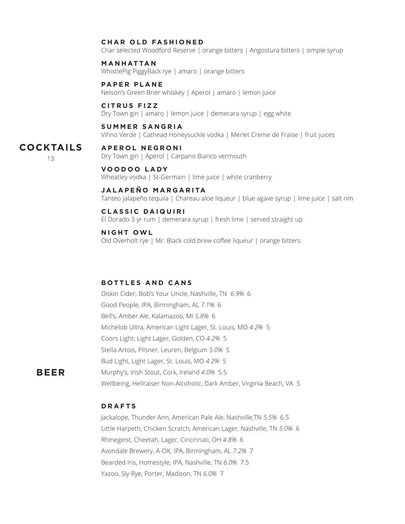#### **CHAR OLD FASHIONED**

Char selected Woodford Reserve | orange bitters | Angostura bitters | simple syrup

#### **M A N H AT TA N**

WhistlePig PiggyBack rye | amaro | orange bitters

#### **PAPER PLANE**

Nelson's Green Brier whiskey | Aperol | amaro | lemon juice

#### **C I T R U S F I Z Z**

Dry Town gin | amaro | lemon juice | demerara syrup | egg white

#### **S U M M E R S A N G R I A**

Vihno Verde | Cathead Honeysuckle vodka | Merlet Creme de Fraise | fruit juices

#### **A P E R O L N E G R O N I COCKTAILS**

13

## Dry Town gin | Aperol | Carpano Bianco vermouth

**V O O D O O L A DY** Wheatley vodka | St-Germain | lime juice | white cranberry

#### **J A L A P E Ñ O M A R G A R I TA**

Tanteo jalapeño tequila | Chareau aloe liqueur | blue agave syrup | lime juice | salt rim

#### **C L A S S I C D A I Q U I R I**

El Dorado 3 yr rum | demerara syrup | fresh lime | served straight up

**N I G H T O W L**

Old Overholt rye | Mr. Black cold brew coffee liqueur | orange bitters

#### **B O T T L E S A N D C A N S**

Diskin Cider, Bob's Your Uncle, Nashville, TN *6.9%* 6 Good People, IPA, Birmingham, AL *7.1%* 6 Bell's, Amber Ale, Kalamazoo, MI *5.8%* 6 Michelob Ultra, American Light Lager, St. Louis, MO *4.2%* 5 Coors Light, Light Lager, Golden, CO *4.2%* 5 Stella Artois, Pilsner, Leuren, Belgium *5.0%* 5 Bud Light, Light Lager, St. Louis, MO *4.2%* 5 Murphy's, Irish Stout, Cork, Ireland *4.0%* 5.5 Wellbeing, Hellraiser Non-Alcoholic, Dark Amber, Virginia Beach, VA 5

## **BEER**

#### **D R A F T S**

Jackalope, Thunder Ann, American Pale Ale, Nashville,TN *5.5%* 6.5 Little Harpeth, Chicken Scratch, American Lager, Nashville, TN *5.0%* 6 Rhinegeist, Cheetah, Lager, Cincinnati, OH *4.8%* 6 Avondale Brewery, A-OK, IPA, Birmingham, AL *7.2%* 7 Bearded Iris, Homestyle, IPA, Nashville, TN *6.0%* 7.5 Yazoo, Sly Rye, Porter, Madison, TN *6.0%* 7